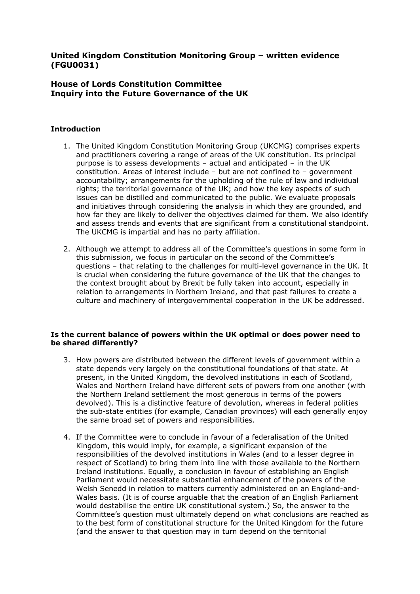# **United Kingdom Constitution Monitoring Group – written evidence (FGU0031)**

# **House of Lords Constitution Committee Inquiry into the Future Governance of the UK**

# **Introduction**

- 1. The United Kingdom Constitution Monitoring Group (UKCMG) comprises experts and practitioners covering a range of areas of the UK constitution. Its principal purpose is to assess developments – actual and anticipated – in the UK constitution. Areas of interest include – but are not confined to – government accountability; arrangements for the upholding of the rule of law and individual rights; the territorial governance of the UK; and how the key aspects of such issues can be distilled and communicated to the public. We evaluate proposals and initiatives through considering the analysis in which they are grounded, and how far they are likely to deliver the objectives claimed for them. We also identify and assess trends and events that are significant from a constitutional standpoint. The UKCMG is impartial and has no party affiliation.
- 2. Although we attempt to address all of the Committee's questions in some form in this submission, we focus in particular on the second of the Committee's questions – that relating to the challenges for multi-level governance in the UK. It is crucial when considering the future governance of the UK that the changes to the context brought about by Brexit be fully taken into account, especially in relation to arrangements in Northern Ireland, and that past failures to create a culture and machinery of intergovernmental cooperation in the UK be addressed.

## **Is the current balance of powers within the UK optimal or does power need to be shared differently?**

- 3. How powers are distributed between the different levels of government within a state depends very largely on the constitutional foundations of that state. At present, in the United Kingdom, the devolved institutions in each of Scotland, Wales and Northern Ireland have different sets of powers from one another (with the Northern Ireland settlement the most generous in terms of the powers devolved). This is a distinctive feature of devolution, whereas in federal polities the sub-state entities (for example, Canadian provinces) will each generally enjoy the same broad set of powers and responsibilities.
- 4. If the Committee were to conclude in favour of a federalisation of the United Kingdom, this would imply, for example, a significant expansion of the responsibilities of the devolved institutions in Wales (and to a lesser degree in respect of Scotland) to bring them into line with those available to the Northern Ireland institutions. Equally, a conclusion in favour of establishing an English Parliament would necessitate substantial enhancement of the powers of the Welsh Senedd in relation to matters currently administered on an England-and-Wales basis. (It is of course arguable that the creation of an English Parliament would destabilise the entire UK constitutional system.) So, the answer to the Committee's question must ultimately depend on what conclusions are reached as to the best form of constitutional structure for the United Kingdom for the future (and the answer to that question may in turn depend on the territorial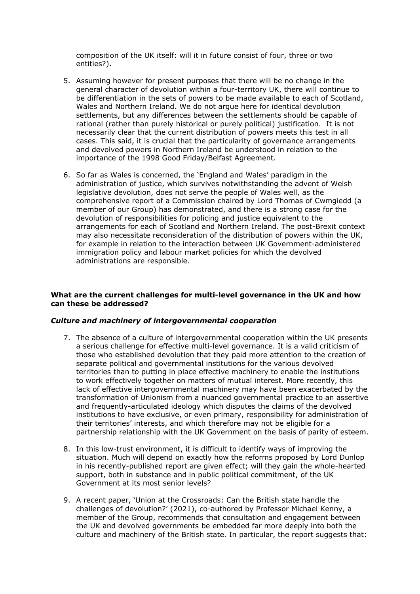composition of the UK itself: will it in future consist of four, three or two entities?).

- 5. Assuming however for present purposes that there will be no change in the general character of devolution within a four-territory UK, there will continue to be differentiation in the sets of powers to be made available to each of Scotland, Wales and Northern Ireland. We do not argue here for identical devolution settlements, but any differences between the settlements should be capable of rational (rather than purely historical or purely political) justification. It is not necessarily clear that the current distribution of powers meets this test in all cases. This said, it is crucial that the particularity of governance arrangements and devolved powers in Northern Ireland be understood in relation to the importance of the 1998 Good Friday/Belfast Agreement.
- 6. So far as Wales is concerned, the 'England and Wales' paradigm in the administration of justice, which survives notwithstanding the advent of Welsh legislative devolution, does not serve the people of Wales well, as the comprehensive report of a Commission chaired by Lord Thomas of Cwmgiedd (a member of our Group) has demonstrated, and there is a strong case for the devolution of responsibilities for policing and justice equivalent to the arrangements for each of Scotland and Northern Ireland. The post-Brexit context may also necessitate reconsideration of the distribution of powers within the UK, for example in relation to the interaction between UK Government-administered immigration policy and labour market policies for which the devolved administrations are responsible.

## **What are the current challenges for multi-level governance in the UK and how can these be addressed?**

## *Culture and machinery of intergovernmental cooperation*

- 7. The absence of a culture of intergovernmental cooperation within the UK presents a serious challenge for effective multi-level governance. It is a valid criticism of those who established devolution that they paid more attention to the creation of separate political and governmental institutions for the various devolved territories than to putting in place effective machinery to enable the institutions to work effectively together on matters of mutual interest. More recently, this lack of effective intergovernmental machinery may have been exacerbated by the transformation of Unionism from a nuanced governmental practice to an assertive and frequently-articulated ideology which disputes the claims of the devolved institutions to have exclusive, or even primary, responsibility for administration of their territories' interests, and which therefore may not be eligible for a partnership relationship with the UK Government on the basis of parity of esteem.
- 8. In this low-trust environment, it is difficult to identify ways of improving the situation. Much will depend on exactly how the reforms proposed by Lord Dunlop in his recently-published report are given effect; will they gain the whole-hearted support, both in substance and in public political commitment, of the UK Government at its most senior levels?
- 9. A recent paper, 'Union at the Crossroads: Can the British state handle the challenges of devolution?' (2021), co-authored by Professor Michael Kenny, a member of the Group, recommends that consultation and engagement between the UK and devolved governments be embedded far more deeply into both the culture and machinery of the British state. In particular, the report suggests that: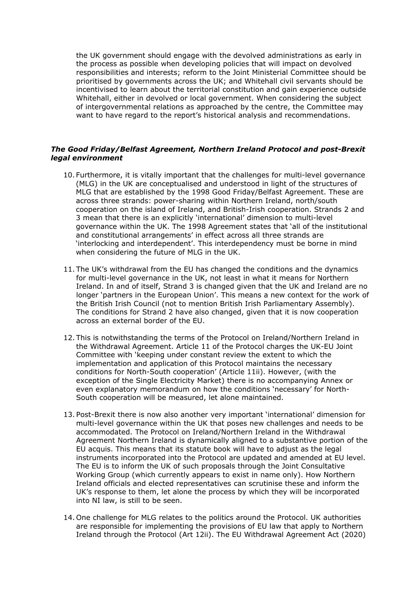the UK government should engage with the devolved administrations as early in the process as possible when developing policies that will impact on devolved responsibilities and interests; reform to the Joint Ministerial Committee should be prioritised by governments across the UK; and Whitehall civil servants should be incentivised to learn about the territorial constitution and gain experience outside Whitehall, either in devolved or local government. When considering the subject of intergovernmental relations as approached by the centre, the Committee may want to have regard to the report's historical analysis and recommendations.

# *The Good Friday/Belfast Agreement, Northern Ireland Protocol and post-Brexit legal environment*

- 10. Furthermore, it is vitally important that the challenges for multi-level governance (MLG) in the UK are conceptualised and understood in light of the structures of MLG that are established by the 1998 Good Friday/Belfast Agreement. These are across three strands: power-sharing within Northern Ireland, north/south cooperation on the island of Ireland, and British-Irish cooperation. Strands 2 and 3 mean that there is an explicitly 'international' dimension to multi-level governance within the UK. The 1998 Agreement states that 'all of the institutional and constitutional arrangements' in effect across all three strands are 'interlocking and interdependent'. This interdependency must be borne in mind when considering the future of MLG in the UK.
- 11. The UK's withdrawal from the EU has changed the conditions and the dynamics for multi-level governance in the UK, not least in what it means for Northern Ireland. In and of itself, Strand 3 is changed given that the UK and Ireland are no longer 'partners in the European Union'. This means a new context for the work of the British Irish Council (not to mention British Irish Parliamentary Assembly). The conditions for Strand 2 have also changed, given that it is now cooperation across an external border of the EU.
- 12. This is notwithstanding the terms of the Protocol on Ireland/Northern Ireland in the Withdrawal Agreement. Article 11 of the Protocol charges the UK-EU Joint Committee with 'keeping under constant review the extent to which the implementation and application of this Protocol maintains the necessary conditions for North-South cooperation' (Article 11ii). However, (with the exception of the Single Electricity Market) there is no accompanying Annex or even explanatory memorandum on how the conditions 'necessary' for North-South cooperation will be measured, let alone maintained.
- 13. Post-Brexit there is now also another very important 'international' dimension for multi-level governance within the UK that poses new challenges and needs to be accommodated. The Protocol on Ireland/Northern Ireland in the Withdrawal Agreement Northern Ireland is dynamically aligned to a substantive portion of the EU acquis. This means that its statute book will have to adjust as the legal instruments incorporated into the Protocol are updated and amended at EU level. The EU is to inform the UK of such proposals through the Joint Consultative Working Group (which currently appears to exist in name only). How Northern Ireland officials and elected representatives can scrutinise these and inform the UK's response to them, let alone the process by which they will be incorporated into NI law, is still to be seen.
- 14. One challenge for MLG relates to the politics around the Protocol. UK authorities are responsible for implementing the provisions of EU law that apply to Northern Ireland through the Protocol (Art 12ii). The EU Withdrawal Agreement Act (2020)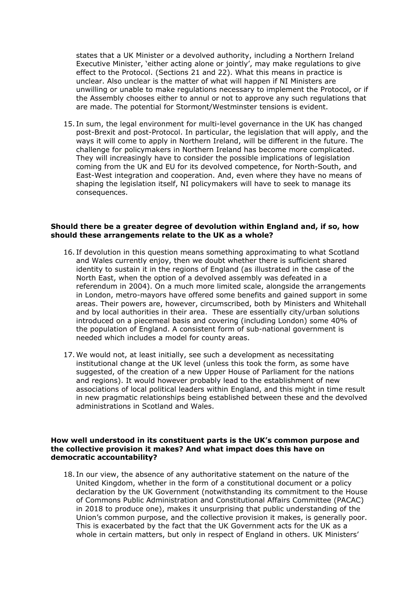states that a UK Minister or a devolved authority, including a Northern Ireland Executive Minister, 'either acting alone or jointly', may make regulations to give effect to the Protocol. (Sections 21 and 22). What this means in practice is unclear. Also unclear is the matter of what will happen if NI Ministers are unwilling or unable to make regulations necessary to implement the Protocol, or if the Assembly chooses either to annul or not to approve any such regulations that are made. The potential for Stormont/Westminster tensions is evident.

15. In sum, the legal environment for multi-level governance in the UK has changed post-Brexit and post-Protocol. In particular, the legislation that will apply, and the ways it will come to apply in Northern Ireland, will be different in the future. The challenge for policymakers in Northern Ireland has become more complicated. They will increasingly have to consider the possible implications of legislation coming from the UK and EU for its devolved competence, for North-South, and East-West integration and cooperation. And, even where they have no means of shaping the legislation itself, NI policymakers will have to seek to manage its consequences.

#### **Should there be a greater degree of devolution within England and, if so, how should these arrangements relate to the UK as a whole?**

- 16. If devolution in this question means something approximating to what Scotland and Wales currently enjoy, then we doubt whether there is sufficient shared identity to sustain it in the regions of England (as illustrated in the case of the North East, when the option of a devolved assembly was defeated in a referendum in 2004). On a much more limited scale, alongside the arrangements in London, metro-mayors have offered some benefits and gained support in some areas. Their powers are, however, circumscribed, both by Ministers and Whitehall and by local authorities in their area. These are essentially city/urban solutions introduced on a piecemeal basis and covering (including London) some 40% of the population of England. A consistent form of sub-national government is needed which includes a model for county areas.
- 17. We would not, at least initially, see such a development as necessitating institutional change at the UK level (unless this took the form, as some have suggested, of the creation of a new Upper House of Parliament for the nations and regions). It would however probably lead to the establishment of new associations of local political leaders within England, and this might in time result in new pragmatic relationships being established between these and the devolved administrations in Scotland and Wales.

#### **How well understood in its constituent parts is the UK's common purpose and the collective provision it makes? And what impact does this have on democratic accountability?**

18. In our view, the absence of any authoritative statement on the nature of the United Kingdom, whether in the form of a constitutional document or a policy declaration by the UK Government (notwithstanding its commitment to the House of Commons Public Administration and Constitutional Affairs Committee (PACAC) in 2018 to produce one), makes it unsurprising that public understanding of the Union's common purpose, and the collective provision it makes, is generally poor. This is exacerbated by the fact that the UK Government acts for the UK as a whole in certain matters, but only in respect of England in others. UK Ministers'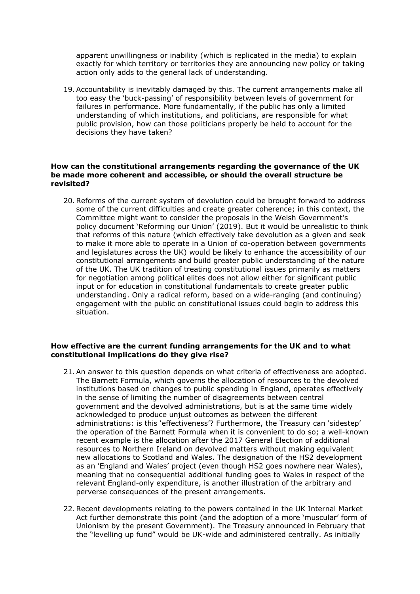apparent unwillingness or inability (which is replicated in the media) to explain exactly for which territory or territories they are announcing new policy or taking action only adds to the general lack of understanding.

19.Accountability is inevitably damaged by this. The current arrangements make all too easy the 'buck-passing' of responsibility between levels of government for failures in performance. More fundamentally, if the public has only a limited understanding of which institutions, and politicians, are responsible for what public provision, how can those politicians properly be held to account for the decisions they have taken?

### **How can the constitutional arrangements regarding the governance of the UK be made more coherent and accessible, or should the overall structure be revisited?**

20.Reforms of the current system of devolution could be brought forward to address some of the current difficulties and create greater coherence; in this context, the Committee might want to consider the proposals in the Welsh Government's policy document 'Reforming our Union' (2019). But it would be unrealistic to think that reforms of this nature (which effectively take devolution as a given and seek to make it more able to operate in a Union of co-operation between governments and legislatures across the UK) would be likely to enhance the accessibility of our constitutional arrangements and build greater public understanding of the nature of the UK. The UK tradition of treating constitutional issues primarily as matters for negotiation among political elites does not allow either for significant public input or for education in constitutional fundamentals to create greater public understanding. Only a radical reform, based on a wide-ranging (and continuing) engagement with the public on constitutional issues could begin to address this situation.

## **How effective are the current funding arrangements for the UK and to what constitutional implications do they give rise?**

- 21.An answer to this question depends on what criteria of effectiveness are adopted. The Barnett Formula, which governs the allocation of resources to the devolved institutions based on changes to public spending in England, operates effectively in the sense of limiting the number of disagreements between central government and the devolved administrations, but is at the same time widely acknowledged to produce unjust outcomes as between the different administrations: is this 'effectiveness'? Furthermore, the Treasury can 'sidestep' the operation of the Barnett Formula when it is convenient to do so; a well-known recent example is the allocation after the 2017 General Election of additional resources to Northern Ireland on devolved matters without making equivalent new allocations to Scotland and Wales. The designation of the HS2 development as an 'England and Wales' project (even though HS2 goes nowhere near Wales), meaning that no consequential additional funding goes to Wales in respect of the relevant England-only expenditure, is another illustration of the arbitrary and perverse consequences of the present arrangements.
- 22.Recent developments relating to the powers contained in the UK Internal Market Act further demonstrate this point (and the adoption of a more 'muscular' form of Unionism by the present Government). The Treasury announced in February that the "levelling up fund" would be UK-wide and administered centrally. As initially